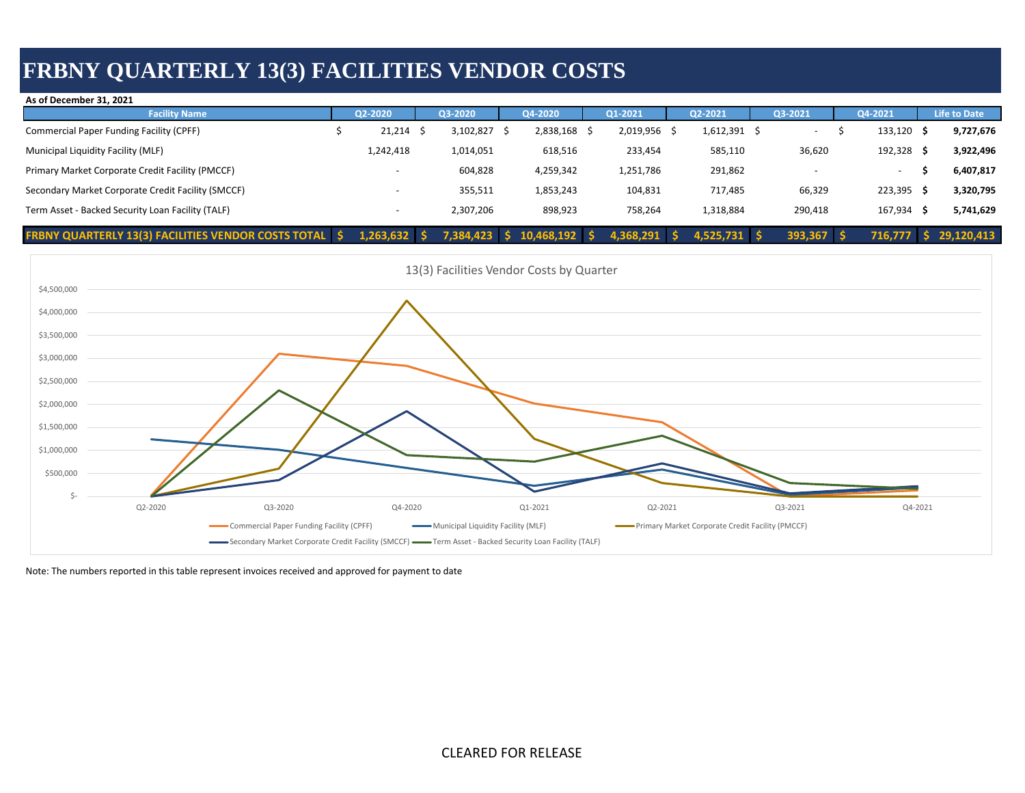## **FRBNY QUARTERLY 13(3) FACILITIES VENDOR COSTS**

| As of December 31, 2021                                       |  |                |  |           |    |            |      |              |  |                |  |                          |              |     |                     |
|---------------------------------------------------------------|--|----------------|--|-----------|----|------------|------|--------------|--|----------------|--|--------------------------|--------------|-----|---------------------|
| <b>Facility Name</b>                                          |  | Q2-2020        |  | Q3-2020   |    | Q4-2020    |      | Q1-2021      |  | Q2-2021        |  | Q3-2021                  | Q4-2021      |     | <b>Life to Date</b> |
| Commercial Paper Funding Facility (CPFF)                      |  | $21,214$ \$    |  | 3,102,827 |    | 2,838,168  | - \$ | 2,019,956 \$ |  | 1,612,391      |  | $\overline{\phantom{a}}$ | 133,120      | - S | 9,727,676           |
| Municipal Liquidity Facility (MLF)                            |  | 1,242,418      |  | 1,014,051 |    | 618,516    |      | 233,454      |  | 585,110        |  | 36,620                   | 192,328      |     | 3,922,496           |
| Primary Market Corporate Credit Facility (PMCCF)              |  |                |  | 604,828   |    | 4,259,342  |      | 1,251,786    |  | 291,862        |  |                          | $\sim$       |     | 6,407,817           |
| Secondary Market Corporate Credit Facility (SMCCF)            |  |                |  | 355,511   |    | 1,853,243  |      | 104,831      |  | 717,485        |  | 66,329                   | $223,395$ \$ |     | 3,320,795           |
| Term Asset - Backed Security Loan Facility (TALF)             |  |                |  | 2,307,206 |    | 898,923    |      | 758,264      |  | 1,318,884      |  | 290,418                  | 167,934      |     | 5,741,629           |
| <b>FRBNY QUARTERLY 13(3) FACILITIES VENDOR COSTS TOTAL \$</b> |  | $1,263,632$ \$ |  | 7,384,423 | -S | 10,468,192 |      | 4,368,291    |  | $4,525,731$ \$ |  | $393,367$ \$             | 716.777      |     | 29,120,413          |



Note: The numbers reported in this table represent invoices received and approved for payment to date

CLEARED FOR RELEASE